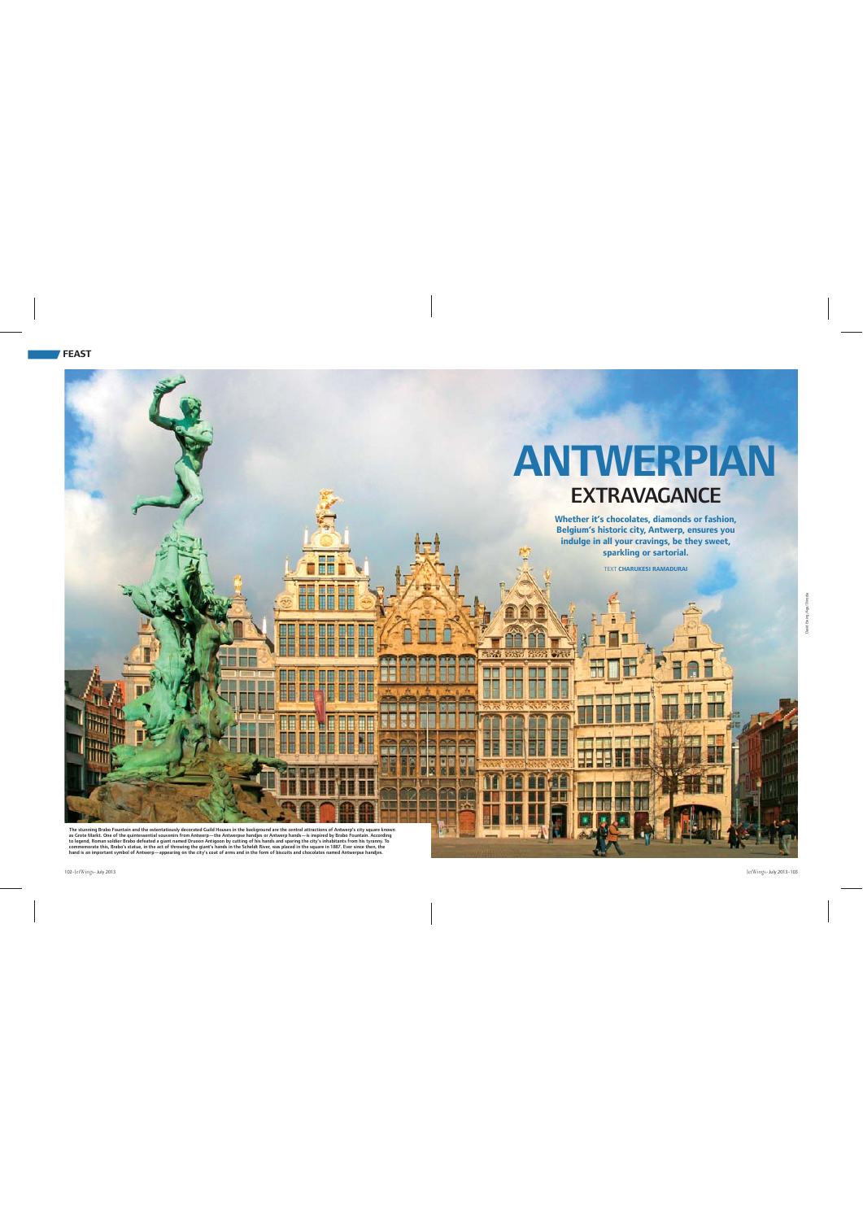

The stunning Brabo Fountain and the ostentatiously decorated Guild Houses in the background are the central attractions of Antwerp's city square known<br>as Grote Markt. One of the quintessential souvenirs from Antwerp—the An commemorate this, Brabo's statue, in the act of throwing the giant's hands in the Scheldt River, was placed in the square in 1887. Ever since then, the<br>hand is an important symbol of Antwerp—appearing on the city's coat of

David Ewing/Age/Dinodia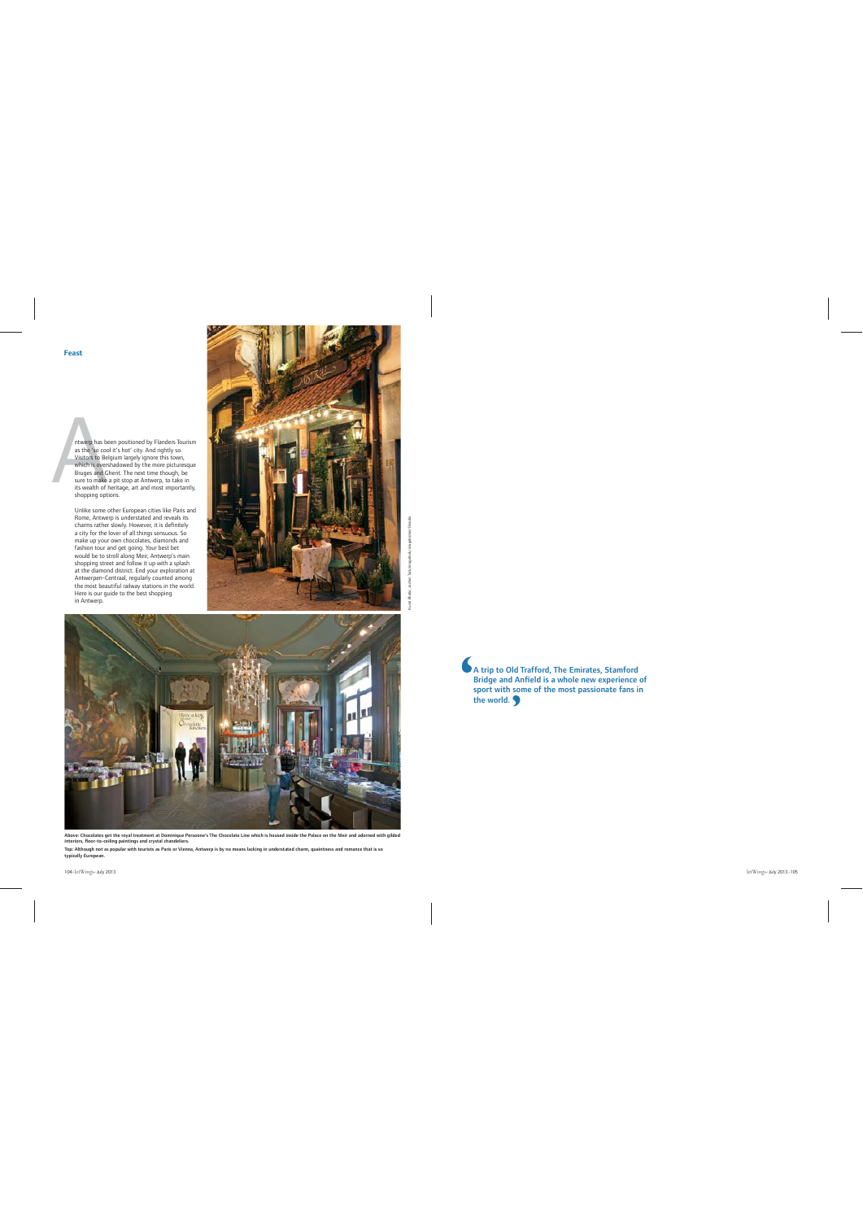

Unlike some other European cities like Paris and Rome, Antwerp is understated and reveals its charms rather slowly. However, it is definitely a city for the lover of all things sensuous. So make up your own chocolates, diamonds and fashion tour and get going. Your best bet would be to stroll along Meir, Antwerp's main shopping street and follow it up with a splash at the diamond district. End your exploration at Antwerpen-Centraal, regularly counted among the most beautiful railway stations in the world. Here is our guide to the best shopping in Antwerp.





Above: Chocolates get the royal treatment at Dominique Persoone's The Chocolate Line which is housed inside the Palace on the Meir and adorned with gilded interiors, floor-to-ceiling paintings and crystal chandeliers.

Top: Although not as popular with tourists as Paris or Vienna, Antwerp is by no means lacking in understated charm, quaintness and romance that is so typically European.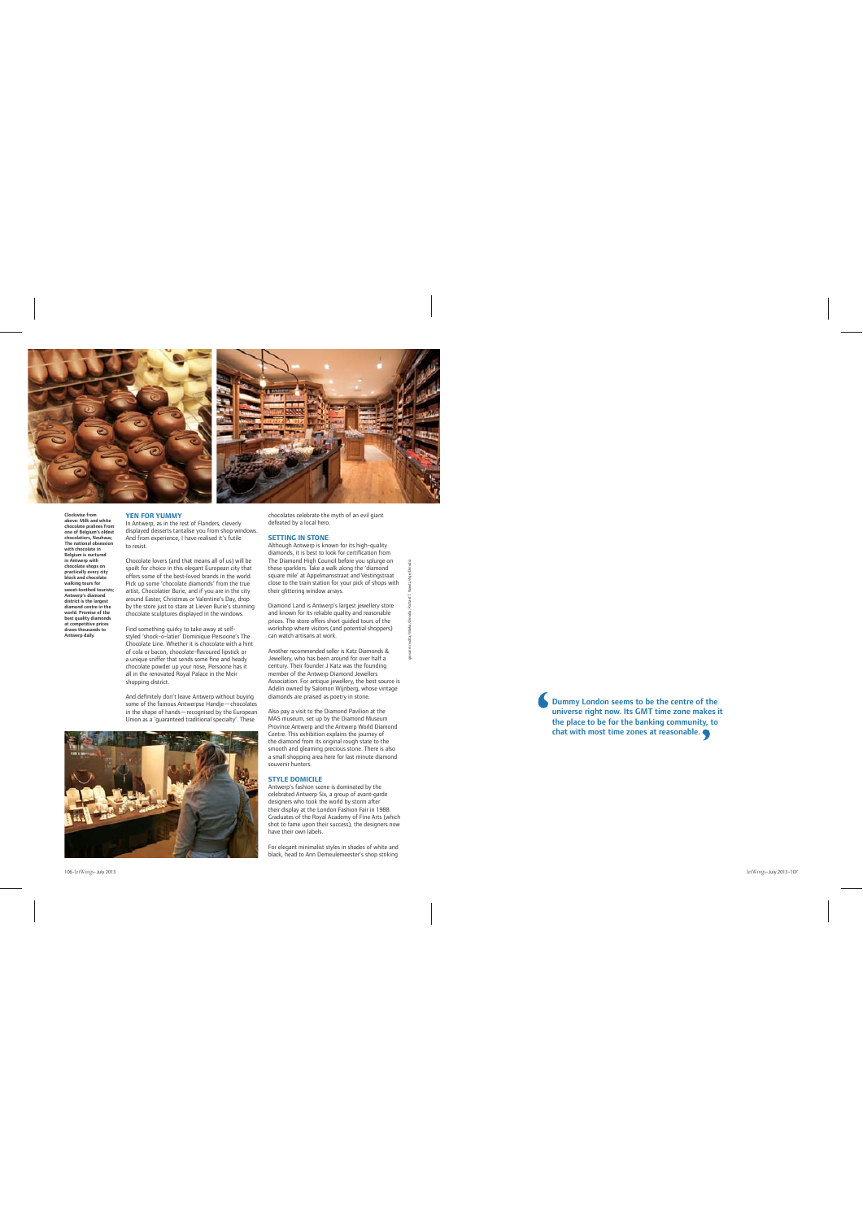



## **YEN FOR YUMMY**

Clockwise from above: Milk and white chocolate pralines from one of Belgium's oldest chocolatiers, Neuhaus; The national obsession with chocolate in Belgium is nurtured in Antwerp with chocolate shops on practically every city block and chocolate walking tours for sweet-toothed tourists; Antwerp's diamond district is the largest diamond centre in the world. Promise of the best quality diamonds at competitive prices draws thousands to Antwerp daily.

In Antwerp, as in the rest of Flanders, cleverly displayed desserts tantalise you from shop windows. And from experience, I have realised it's futile to resist.

Chocolate lovers (and that means all of us) will be spoilt for choice in this elegant European city that offers some of the best-loved brands in the world. Pick up some 'chocolate diamonds' from the true artist, Chocolatier Burie, and if you are in the city around Easter, Christmas or Valentine's Day, drop by the store just to stare at Lieven Burie's stunning chocolate sculptures displayed in the windows.

Find something quirky to take away at selfstyled 'shock-o-latier' Dominique Persoone's The Chocolate Line. Whether it is chocolate with a hint of cola or bacon, chocolate-flavoured linstick or a unique sniffer that sends some fine and heady chocolate powder up your nose, Persoone has it all in the renovated Royal Palace in the Meir shopping district.

And definitely don't leave Antwerp without buying some of the famous Antwerpse Handje—chocolates in the shape of hands—recognised by the European Union as a 'guaranteed traditional specialty'. These



chocolates celebrate the myth of an evil giant defeated by a local hero.

### **SETTING IN STONE**

Although Antwerp is known for its high-quality diamonds, it is best to look for certification from The Diamond High Council before you splurge on these sparklers. Take a walk along the 'diamond square mile' at Appelmansstraat and Vestingstraat close to the train station for your pick of shops with their glittering window arrays.

Diamond Land is Antwerp's largest jewellery store and known for its reliable quality and reasonable prices. The store offers short guided tours of the workshop where visitors (and potential shoppers) can watch artisans at work.

Another recommended seller is Katz Diamonds & Jewellery, who has been around for over half a century. Their founder J Katz was the founding member of the Antwerp Diamond Jewellers Association. For antique jewellery, the best source is Adelin owned by Salomon Wijnberg, whose vintage diamonds are praised as poetry in stone.

Also pay a visit to the Diamond Pavilion at the MAS museum, set up by the Diamond Museum Province Antwerp and the Antwerp World Diamond Centre. This exhibition explains the journey of the diamond from its original rough state to the smooth and gleaming precious stone. There is also a small shopping area here for last minute diamond souvenir hunters.

## **STYLE DOMICILE**

Antwerp's fashion scene is dominated by the celebrated Antwerp Six, a group of avant-garde designers who took the world by storm after their display at the London Fashion Fair in 1988. Graduates of the Royal Academy of Fine Arts (which shot to fame upon their success), the designers now have their own labels.

For elegant minimalist styles in shades of white and black, head to Ann Demeulemeester's shop striking